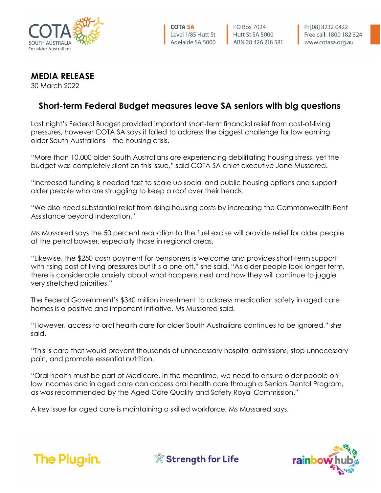

PO Box 7024 Hutt St SA 5000 ABN 28 426 218 581

## **MEDIA RELEASE**

30 March 2022

## **Short-term Federal Budget measures leave SA seniors with big questions**

Last night's Federal Budget provided important short-term financial relief from cost-of-living pressures, however COTA SA says it failed to address the biggest challenge for low earning older South Australians – the housing crisis.

"More than 10,000 older South Australians are experiencing debilitating housing stress, yet the budget was completely silent on this issue," said COTA SA chief executive Jane Mussared.

"Increased funding is needed fast to scale up social and public housing options and support older people who are struggling to keep a roof over their heads.

"We also need substantial relief from rising housing costs by increasing the Commonwealth Rent Assistance beyond indexation."

Ms Mussared says the 50 percent reduction to the fuel excise will provide relief for older people at the petrol bowser, especially those in regional areas.

"Likewise, the \$250 cash payment for pensioners is welcome and provides short-term support with rising cost of living pressures but it's a one-off," she said. "As older people look longer term, there is considerable anxiety about what happens next and how they will continue to juggle very stretched priorities."

The Federal Government's \$340 million investment to address medication safety in aged care homes is a positive and important initiative, Ms Mussared said.

"However, access to oral health care for older South Australians continues to be ignored," she said.

"This is care that would prevent thousands of unnecessary hospital admissions, stop unnecessary pain, and promote essential nutrition.

"Oral health must be part of Medicare. In the meantime, we need to ensure older people on low incomes and in aged care can access oral health care through a Seniors Dental Program, as was recommended by the Aged Care Quality and Safety Royal Commission."

A key issue for aged care is maintaining a skilled workforce, Ms Mussared says.